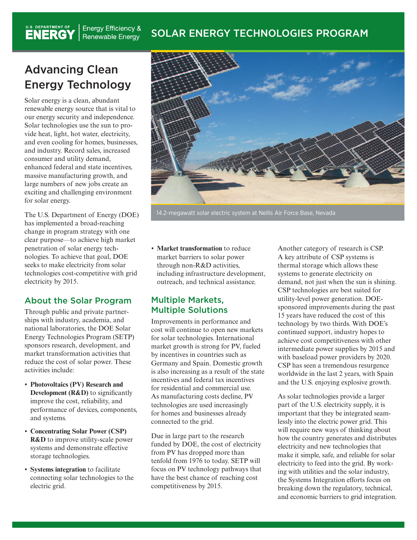#### **Energy Efficiency &** SOLAR ENERGY TECHNOLOGIES PROGRAM Renewable Energy

## Advancing Clean Energy Technology

U.S. DEPARTMENT OF

Solar energy is a clean, abundant renewable energy source that is vital to our energy security and independence. Solar technologies use the sun to provide heat, light, hot water, electricity, and even cooling for homes, businesses, and industry. Record sales, increased consumer and utility demand, enhanced federal and state incentives, massive manufacturing growth, and large numbers of new jobs create an exciting and challenging environment for solar energy.

The U.S. Department of Energy (DOE) has implemented a broad-reaching change in program strategy with one clear purpose—to achieve high market penetration of solar energy technologies. To achieve that goal, DOE seeks to make electricity from solar technologies cost-competitive with grid electricity by 2015.

#### About the Solar Program

Through public and private partnerships with industry, academia, and national laboratories, the DOE Solar Energy Technologies Program (SETP) sponsors research, development, and market transformation activities that reduce the cost of solar power. These activities include:

- • **Photovoltaics (PV) Research and Development (R&D)** to significantly improve the cost, reliability, and performance of devices, components, and systems.
- • **Concentrating Solar Power (CSP) R&D** to improve utility-scale power systems and demonstrate effective storage technologies.
- • **Systems integration** to facilitate connecting solar technologies to the electric grid.



14.2-megawatt solar electric system at Nellis Air Force Base, Nevada

• **Market transformation** to reduce market barriers to solar power through non-R&D activities, including infrastructure development, outreach, and technical assistance.

### Multiple Markets, Multiple Solutions

Improvements in performance and cost will continue to open new markets for solar technologies. International market growth is strong for PV, fueled by incentives in countries such as Germany and Spain. Domestic growth is also increasing as a result of the state incentives and federal tax incentives for residential and commercial use. As manufacturing costs decline, PV technologies are used increasingly for homes and businesses already connected to the grid.

Due in large part to the research funded by DOE, the cost of electricity from PV has dropped more than tenfold from 1976 to today. SETP will focus on PV technology pathways that have the best chance of reaching cost competitiveness by 2015.

Another category of research is CSP. A key attribute of CSP systems is thermal storage which allows these systems to generate electricity on demand, not just when the sun is shining. CSP technologies are best suited for utility-level power generation. DOEsponsored improvements during the past 15 years have reduced the cost of this technology by two thirds. With DOE's continued support, industry hopes to achieve cost competitiveness with other intermediate power supplies by 2015 and with baseload power providers by 2020. CSP has seen a tremendous resurgence worldwide in the last 2 years, with Spain and the U.S. enjoying explosive growth.

As solar technologies provide a larger part of the U.S. electricity supply, it is important that they be integrated seamlessly into the electric power grid. This will require new ways of thinking about how the country generates and distributes electricity and new technologies that make it simple, safe, and reliable for solar electricity to feed into the grid. By working with utilities and the solar industry, the Systems Integration efforts focus on breaking down the regulatory, technical, and economic barriers to grid integration.